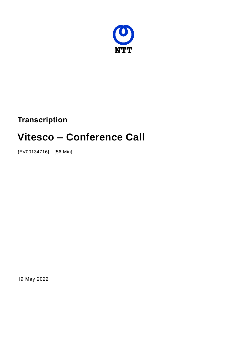

# **Transcription**

# **Vitesco – Conference Call**

{EV00134716} - {56 Min}

19 May 2022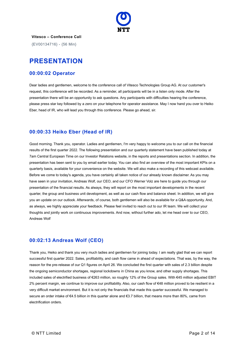

**Vitesco – Conference Call** {EV00134716} - {56 Min}

# **PRESENTATION**

# **00:00:02 Operator**

Dear ladies and gentlemen, welcome to the conference call of Vitesco Technologies Group AG. At our customer's request, this conference will be recorded. As a reminder, all participants will be in a listen only mode. After the presentation there will be an opportunity to ask questions. Any participants with difficulties hearing the conference, please press star key followed by a zero on your telephone for operator assistance. May I now hand you over to Heiko Eber, head of IR, who will lead you through this conference. Please go ahead, sir.

# **00:00:33 Heiko Eber (Head of IR)**

Good morning. Thank you, operator. Ladies and gentlemen, I'm very happy to welcome you to our call on the financial results of the first quarter 2022. The following presentation and our quarterly statement have been published today at 7am Central European Time on our Investor Relations website, in the reports and presentations section. In addition, the presentation has been sent to you by email earlier today. You can also find an overview of the most important KPIs on a quarterly basis, available for your convenience on the website. We will also make a recording of this webcast available. Before we come to today's agenda, you have certainly all taken notice of our already known disclaimer. As you may have seen in your invitation, Andreas Wolf, our CEO, and our CFO Werner Volz are here to guide you through our presentation of the financial results. As always, they will report on the most important developments in the recent quarter, the group and business unit development, as well as our cash flow and balance sheet. In addition, we will give you an update on our outlook. Afterwards, of course, both gentlemen will also be available for a Q&A opportunity. And, as always, we highly appreciate your feedback. Please feel invited to reach out to our IR team. We will collect your thoughts and jointly work on continuous improvements. And now, without further ado, let me head over to our CEO, Andreas Wolf

# **00:02:13 Andreas Wolf (CEO)**

Thank you, Heiko and thank you very much ladies and gentlemen for joining today. I am really glad that we can report successful first quarter 2022. Sales, profitability, and cash flow came in ahead of expectations. That was, by the way, the reason for the pre-release of our Q1 figures on April 26. We concluded the first quarter with sales of 2.3 billion despite the ongoing semiconductor shortages, regional lockdowns in China as you know, and other supply shortages. This included sales of electrified business of €263 million, so roughly 12% of the Group sales. With €45 million adjusted EBIT 2% percent margin, we continue to improve our profitability. Also, our cash flow of €48 million proved to be resilient in a very difficult market environment. But it is not only the financials that made this quarter successful. We managed to secure an order intake of €4.5 billion in this quarter alone and €3.7 billion, that means more than 80%, came from electrification orders.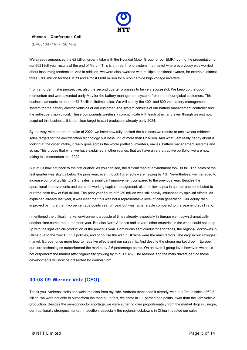

{EV00134716} - {56 Min}

We already announced the €2 billion order intake with the Hyundai Motor Group for our EMR4 during the presentation of our 2021 full-year results at the end of March. This is a three-in-one system in a market where everybody was worried about insourcing tendencies. And in addition, we were also awarded with multiple additional awards, for example, almost three €700 million for the EMR3 and almost €600 million for silicon carbide high voltage inverters.

From an order intake perspective, also the second quarter promises to be very successful. We keep up the good momentum and were awarded early May for the battery management system, from one of our global customers. This business amounts to another €1.7 billion lifetime sales. We will supply the 400- and 800-volt battery management system for the battery electric vehicles of our customer. The system consists of our battery management controller and the self-supervision circuit. These components wirelessly communicate with each other, and even though we just now acquired this business, it is our clear target to start production already early 2024.

By the way, with the order intake of 2022, we have now fully booked the business we require to achieve our midterm sales targets for the electrification technology business unit of more than €2 billion. And what I am really happy about is, looking at the order intake, it really goes across the whole portfolio, inverters, eaxles, battery management systems and so on. This proves that what we have explained in other rounds, that we have a very attractive portfolio, we are now taking this momentum into 2022.

But let us now get back to the first quarter. As you can see, the difficult market environment took its toll. The sales of the first quarter was slightly below the prior year, even though FX effects were helping by 4%. Nevertheless, we managed to increase our profitability to 2% of sales, a significant improvement compared to the previous year. Besides the operational improvements and our strict working capital management, also the low capex in quarter one contributed to our free cash flow of €48 million. The prior year figure of €239 million was still heavily influenced by spin-off effects. As explained already last year, it was clear that this was not a representative level of cash generation. Our equity ratio improved by more than two percentage points year on year but was rather stable compared to the year-end 2021 ratio.

I mentioned the difficult market environment a couple of times already, especially in Europe went down dramatically another time compared to the prior year. But also North America and several other countries in the world could not keep up with the light vehicle production of the previous year. Continuous semiconductor shortages, the regional lockdowns in China due to the zero COVID policies, and of course the war in Ukraine were the main factors. The drop in our strongest market, Europe, once more lead to negative effects and our sales mix. And despite the strong market drop in Europe, our core technologies outperformed the market by 2.6 percentage points. On an overall group level however, we could not outperform the market after organically growing by minus 5.6%. The reasons and the main drivers behind these developments will now be presented by Werner Volz.

#### **00:08:09 Werner Volz (CFO)**

Thank you, Andreas. Hello and welcome also from my side. Andreas mentioned it already, with our Group sales of €2.3 billion, we were not able to outperform the market. In fact, we came in 1.1 percentage points lower than the light vehicle production. Besides the semiconductor shortage, we were suffering over proportionately from the market drop in Europe, our traditionally strongest market. In addition, especially the regional lockdowns in China impacted our sales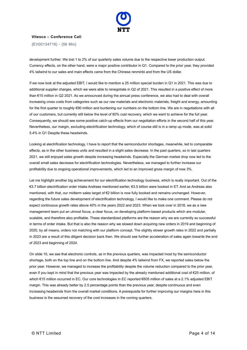

{EV00134716} - {56 Min}

development further. We lost 1 to 2% of our quarterly sales volume due to the respective lower production output. Currency effects, on the other hand, were a major positive contributor in Q1. Compared to the prior year, they provided 4% tailwind to our sales and main effects came from the Chinese renminbi and from the US dollar.

If we now look at the adjusted EBIT, I would like to mention a 25 million special burden in Q1 in 2021. This was due to additional supplier charges, which we were able to renegotiate in Q2 of 2021. This resulted in a positive effect of more than €15 million in Q2 2021. As we announced during the annual press conference, we also had to deal with overall increasing cross costs from categories such as our raw materials and electronic materials, freight and energy, amounting for the first quarter to roughly €90 million and burdening our numbers on the bottom line. We are in negotiations with all of our customers, but currently still below the level of 80% cost recovery, which we want to achieve for the full year. Consequently, we should see some positive catch-up effects from our negotiation efforts in the second half of this year. Nevertheless, our margin, excluding electrification technology, which of course still is in a ramp up mode, was at solid 5.4% in Q1 Despite these headwinds.

Looking at electrification technology, I have to report that the semiconductor shortages, meanwhile, led to comparable effects, as in the other business units and resulted in a slight sales decrease. In the past quarters, so in last quarters 2021, we still enjoyed sales growth despite increasing headwinds. Especially the German market drop now led to the overall small sales decrease for electrification technologies. Nevertheless, we managed to further increase our profitability due to ongoing operational improvements, which led to an improved gross margin of now 3%.

Let me highlight another big achievement for our electrification technology business, which is really important. Out of the €3.7 billion electrification order intake Andreas mentioned earlier, €3.5 billion were booked in ET. And as Andreas also mentioned, with that, our midterm sales target of €2 billion is now fully booked and remains unchanged. However, regarding the future sales development of electrification technology, I would like to make one comment. Please do not expect continuous growth rates above 40% in the years 2022 and 2023. When we took over in 2018, we as a new management team put an utmost focus, a clear focus, on developing platform-based products which are modular, scalable, and therefore also profitable. These standardized platforms are the reason why we are currently so successful in terms of order intake. But that is also the reason why we slowed down acquiring new orders in 2019 and beginning of 2020, by all means, orders not matching with our platform concept. The slightly slower growth rates in 2022 and partially in 2023 are a result of this diligent decision back then. We should see further acceleration of sales again towards the end of 2023 and beginning of 2024.

On slide 10, we see that electronic controls, as in the previous quarters, was impacted most by the semiconductor shortage, both on the top line and on the bottom line. And despite 4% tailwind from FX, we reported sales below the prior year. However, we managed to increase the profitability despite the volume reduction compared to the prior year, even if you kept in mind that the previous year was impacted by the already mentioned additional cost of €25 million, of which €15 million occurred in EC. Our core technologies in EC reported €605 million of sales at a 2.1% adjusted EBIT margin. This was already better by 2.5 percentage points than the previous year, despite continuous and even increasing headwinds from the overall market conditions. A prerequisite for further improving our margins here in this business is the assumed recovery of the cost increases in the coming quarters.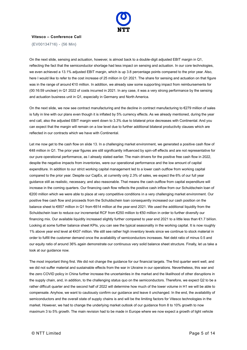

{EV00134716} - {56 Min}

On the next slide, sensing and actuation, however, is almost back to a double-digit adjusted EBIT margin in Q1, reflecting the fact that the semiconductor shortage had less impact on sensing and actuation. In our core technologies, we even achieved a 13.1% adjusted EBIT margin, which is up 3.8 percentage points compared to the prior year. Also, here I would like to refer to the cost increase of 25 million in Q1 2021. The share for sensing and actuation on that figure was in the range of around €10 million. In addition, we already saw some supporting impact from reimbursements for (00:16:59 unclear) in Q1 2022 of costs incurred in 2021. In any case, it was a very strong performance by the sensing and actuation business unit in Q1, especially in Germany and North America.

On the next slide, we now see contract manufacturing and the decline in contract manufacturing to €279 million of sales is fully in line with our plans even though it is inflated by 5% currency effects. As we already mentioned, during the year end call, also the adjusted EBIT margin went down to 3.3% due to bilateral price decreases with Continental. And you can expect that the margin will remain on a low level due to further additional bilateral productivity clauses which are reflected in our contracts which we have with Continental.

Let me now get to the cash flow on slide 13. In a challenging market environment, we generated a positive cash flow of €48 million in Q1. The prior year figures are still significantly influenced by spin-off effects and are not representative for our pure operational performance, as I already stated earlier. The main drivers for the positive free cash flow in 2022, despite the negative impacts from inventories, were our operational performance and the low amount of capital expenditure. In addition to our strict working capital management led to a lower cash outflow from working capital compared to the prior year. Despite our CapEx, at currently only 2.3% of sales, we expect the 6% of our full year guidance still as realistic, necessary, and also reasonable. That means the cash outflow from capital expenditure will increase in the coming quarters. Our financing cash flow reflects the positive cash inflow from our Schuldschein loan of €200 million which we were able to place at very competitive conditions in a very challenging market environment. Our positive free cash flow and proceeds from the Schuldschein loan consequently increased our cash position on the balance sheet to €857 million in Q1 from €614 million at the year-end 2021. We used the additional liquidity from the Schuldschein loan to reduce our incremental RCF from €250 million to €50 million in order to further diversify our financing mix. Our available liquidity increased slightly further compared to year end 2021 to a little less than  $\epsilon$ 1.7 billion. Looking at some further balance sheet KPIs, you can see the typical seasonality in the working capital. It is now roughly 1% above year end level at €437 million. We still see rather high inventory levels since we continue to stock material in order to fulfill the customer demand once the availability of semiconductors increases. Net debt ratio of minus 0.5 and our equity ratio of around 36% again demonstrate our continuous very solid balance sheet structure. Finally, let us take a look at our guidance now.

The most important thing first. We did not change the guidance for our financial targets. The first quarter went well, and we did not suffer material and sustainable effects from the war in Ukraine in our operations. Nevertheless, this war and the zero COVID policy in China further increase the uncertainties in the market and the likelihood of other disruptions in the supply chain, and, in addition, to the challenging status quo on the semiconductors. Therefore, we expect Q2 to be a rather difficult quarter and the second half of 2022 will determine how much of the lower volume in H1 we will be able to compensate. Anyhow, we want to cautiously confirm our guidance and leave it unchanged. In the end, the availability of semiconductors and the overall state of supply chains is and will be the limiting factors for Vitesco technologies in the market. However, we had to change the underlying market outlook of our guidance from 8 to 10% growth to now maximum 3 to 5% growth. The main revision had to be made in Europe where we now expect a growth of light vehicle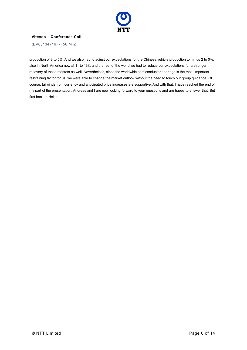

{EV00134716} - {56 Min}

production of 3 to 5%. And we also had to adjust our expectations for the Chinese vehicle production to minus 2 to 0%, also in North America now at 11 to 13% and the rest of the world we had to reduce our expectations for a stronger recovery of these markets as well. Nevertheless, since the worldwide semiconductor shortage is the most important restraining factor for us, we were able to change the market outlook without the need to touch our group guidance. Of course, tailwinds from currency and anticipated price increases are supportive. And with that, I have reached the end of my part of the presentation. Andreas and I are now looking forward to your questions and are happy to answer that. But first back to Heiko.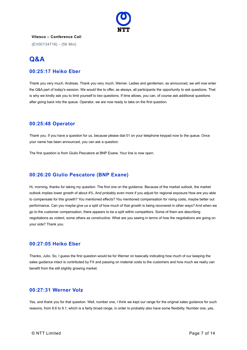

{EV00134716} - {56 Min}

# **Q&A**

#### **00:25:17 Heiko Eber**

Thank you very much, Andreas. Thank you very much, Werner. Ladies and gentlemen, as announced, we will now enter the Q&A part of today's session. We would like to offer, as always, all participants the opportunity to ask questions. That is why we kindly ask you to limit yourself to two questions. If time allows, you can, of course ask additional questions after going back into the queue. Operator, we are now ready to take on the first question.

#### **00:25:48 Operator**

Thank you. If you have a question for us, because please dial 01 on your telephone keypad now to the queue. Once your name has been announced, you can ask a question.

The first question is from Giulio Pescatore at BNP Exane. Your line is now open.

## **00:26:20 Giulio Pescatore (BNP Exane)**

Hi, morning, thanks for taking my question. The first one on the guidance. Because of the market outlook, the market outlook implies lower growth of about 4%. And probably even more if you adjust for regional exposure How are you able to compensate for this growth? You mentioned effects? You mentioned compensation for rising costs, maybe better out performance. Can you maybe give us a split of how much of that growth is being recovered in other ways? And when we go to the customer compensation, there appears to be a split within competitors. Some of them are describing negotiations as violent, some others as constructive. What are you seeing in terms of how the negotiations are going on your side? Thank you.

#### **00:27:05 Heiko Eber**

Thanks, Julio. So, I guess the first question would be for Werner on basically indicating how much of our keeping the sales guidance intact is contributed by FX and passing on material costs to the customers and how much we really can benefit from the still slightly growing market.

## **00:27:31 Werner Volz**

Yes, and thank you for that question. Well, number one, I think we kept our range for the original sales guidance for such reasons, from 8.6 to 9.1, which is a fairly broad range, in order to probably also have some flexibility. Number one, yes,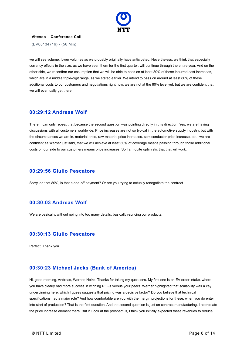

{EV00134716} - {56 Min}

we will see volume, lower volumes as we probably originally have anticipated. Nevertheless, we think that especially currency effects in the size, as we have seen them for the first quarter, will continue through the entire year. And on the other side, we reconfirm our assumption that we will be able to pass on at least 80% of these incurred cost increases, which are in a middle triple-digit range, as we stated earlier. We intend to pass on around at least 80% of these additional costs to our customers and negotiations right now, we are not at the 80% level yet, but we are confident that we will eventually get there.

#### **00:29:12 Andreas Wolf**

There, I can only repeat that because the second question was pointing directly in this direction. Yes, we are having discussions with all customers worldwide. Price increases are not so typical in the automotive supply industry, but with the circumstances we are in, material price, raw material price increases, semiconductor price increase, etc., we are confident as Werner just said, that we will achieve at least 80% of coverage means passing through those additional costs on our side to our customers means price increases. So I am quite optimistic that that will work.

#### **00:29:56 Giulio Pescatore**

Sorry, on that 80%, is that a one-off payment? Or are you trying to actually renegotiate the contract.

#### **00:30:03 Andreas Wolf**

We are basically, without going into too many details, basically repricing our products.

# **00:30:13 Giulio Pescatore**

Perfect. Thank you.

#### **00:30:23 Michael Jacks (Bank of America)**

Hi, good morning, Andreas, Werner, Heiko. Thanks for taking my questions. My first one is on EV order intake, where you have clearly had more success in winning RFQs versus your peers. Werner highlighted that scalability was a key underpinning here, which I guess suggests that pricing was a decisive factor? Do you believe that technical specifications had a major role? And how comfortable are you with the margin projections for these, when you do enter into start of production? That is the first question. And the second question is just on contract manufacturing. I appreciate the price increase element there. But if I look at the prospectus, I think you initially expected these revenues to reduce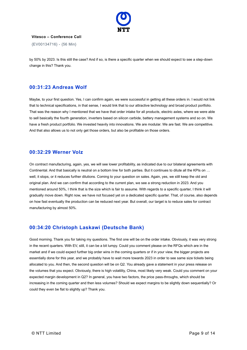

{EV00134716} - {56 Min}

by 50% by 2023. Is this still the case? And if so, is there a specific quarter when we should expect to see a step-down change in this? Thank you.

#### **00:31:23 Andreas Wolf**

Maybe, to your first question. Yes, I can confirm again, we were successful in getting all these orders in. I would not link that to technical specifications, in that sense, I would link that to our attractive technology and broad product portfolio. That was the reason why I mentioned that we have that order intake for all products, electric axles, where we were able to sell basically the fourth generation, inverters based on silicon carbide, battery management systems and so on. We have a fresh product portfolio. We invested heavily into innovations. We are modular. We are fast. We are competitive. And that also allows us to not only get those orders, but also be profitable on those orders.

#### **00:32:29 Werner Volz**

On contract manufacturing, again, yes, we will see lower profitability, as indicated due to our bilateral agreements with Continental. And that basically is neutral on a bottom line for both parties. But it continues to dilute all the KPIs on … well, it stops, or it reduces further dilutions. Coming to your question on sales. Again, yes, we still keep the old and original plan. And we can confirm that according to the current plan, we see a strong reduction in 2023. And you mentioned around 50%, I think that is the size which is fair to assume. With regards to a specific quarter, I think it will gradually move down. Right now, we have not focused yet on a dedicated specific quarter. That, of course, also depends on how fast eventually the production can be reduced next year. But overall, our target is to reduce sales for contract manufacturing by almost 50%.

# **00:34:20 Christoph Laskawi (Deutsche Bank)**

Good morning. Thank you for taking my questions. The first one will be on the order intake. Obviously, it was very strong in the recent quarters. With EV, still, it can be a bit lumpy. Could you comment please on the RFQs which are in the market and if we could expect further big order wins in the coming quarters or if in your view, the bigger projects are essentially done for this year, and we probably have to wait more towards 2023 in order to see same size tickets being allocated to you. And then, the second question will be on Q2. You already gave a statement in your press release on the volumes that you expect. Obviously, there is high volatility, China, most likely very weak. Could you comment on your expected margin development in Q2? In general, you have two factors, the price pass-throughs, which should be increasing in the coming quarter and then less volumes? Should we expect margins to be slightly down sequentially? Or could they even be flat to slightly up? Thank you.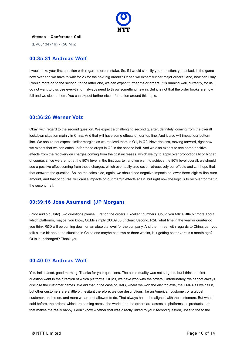

{EV00134716} - {56 Min}

#### **00:35:31 Andreas Wolf**

I would take your first question with regard to order intake. So, if I would simplify your question: you asked, is the game now over and we have to wait for 23 for the next big orders? Or can we expect further major orders? And, how can I say, I would more go to the second, to the latter one, we can expect further major orders. It is running well, currently, for us. I do not want to disclose everything, I always need to throw something new in. But it is not that the order books are now full and we closed them. You can expect further nice information around this topic.

#### **00:36:26 Werner Volz**

Okay, with regard to the second question. We expect a challenging second quarter, definitely, coming from the overall lockdown situation mainly in China. And that will have some effects on our top line. And it also will impact our bottom line. We should not expect similar margins as we realized them in Q1, in Q2. Nevertheless, moving forward, right now we expect that we can catch up for these drops in Q2 in the second half. And we also expect to see some positive effects from the recovery on charges coming from the cost increases, which we try to apply over proportionally or higher, of course, since we are not at the 80% level in the first quarter, and we want to achieve the 80% level overall, we should see a positive effect coming from these charges, which eventually also cover retroactively our effects and … I hope that that answers the question. So, on the sales side, again, we should see negative impacts on lower three-digit million-euro amount, and that of course, will cause impacts on our margin effects again, but right now the logic is to recover for that in the second half.

#### **00:39:16 Jose Asumendi (JP Morgan)**

(Poor audio quality) Two questions please. First on the orders. Excellent numbers. Could you talk a little bit more about which platforms, maybe, you know, OEMs simply (00:39:30 unclear) Second, R&D what time in the year or quarter do you think R&D will be coming down on an absolute level for the company. And then three, with regards to China, can you talk a little bit about the situation in China and maybe past two or three weeks, is it getting better versus a month ago? Or is it unchanged? Thank you.

#### **00:40:07 Andreas Wolf**

Yes, hello, José, good morning. Thanks for your questions. The audio quality was not so good, but I think the first question went in the direction of which platforms, OEMs, we have won with the orders. Unfortunately, we cannot always disclose the customer names. We did that in the case of HMG, where we won the electric axle, the EMR4 as we call it, but other customers are a little bit hesitant therefore, we use descriptions like an American customer, or a global customer, and so on, and more we are not allowed to do. That always has to be aligned with the customers. But what I said before, the orders, which are coming across the world, and the orders are across all platforms, all products, and that makes me really happy. I don't know whether that was directly linked to your second question, José to the to the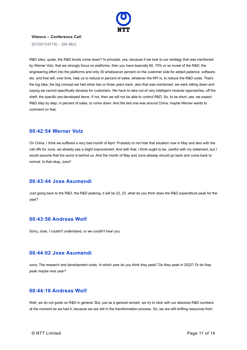

{EV00134716} - {56 Min}

R&D sites, quote, the R&D levels come down? In principle, yes, because if we look to our strategy that was mentioned by Werner Volz, that we strongly focus on platforms, then you have basically 60, 70% or so invest of the R&D, the engineering effort into the platforms and only 30 whatsoever percent on the customer side for added patience, software, etc. and that will, over time, help us to reduce in percent of sales, whatever the KPI is, to reduce the R&D costs. That's the big idea, the big concept we had when two or three years back, also that was mentioned, we were sitting down and saying we cannot specifically develop for customers. We have to take out of very intelligent modular approaches, off the shelf, the specific pre-developed items. If not, then we will not be able to control R&D. So, to be short, yes, we expect R&D step by step, in percent of sales, to come down. And the last one was around China, maybe Werner wants to comment on that.

#### **00:42:54 Werner Volz**

On China, I think we suffered a very bad month of April. Probably to not hide that situation now in May and also with the call offs for June, we already see a slight improvement. And with that, I think ought to be, careful with my statement, but I would assume that the worst is behind us. And the month of May and June already should go back and come back to normal. Is that okay, Jose?

#### **00:43:44 Jose Asumendi**

Just going back to the R&D, the R&D peaking, it will be 22, 23, what do you think does the R&D expenditure peak for the year?

#### **00:43:56 Andreas Wolf**

Sorry, Jose, I couldn't understand, or we couldn't hear you.

#### **00:44:02 Jose Asumendi**

sorry. The research and development costs. In which year do you think they peak? Do they peak in 2022? Or do they peak maybe next year?

# **00:44:16 Andreas Wolf**

Well, we do not guide on R&D in general. But, just as a general remark, we try to stick with our absolute R&D numbers at the moment as we had it, because we are still in the transformation process. So, we are still shifting resources from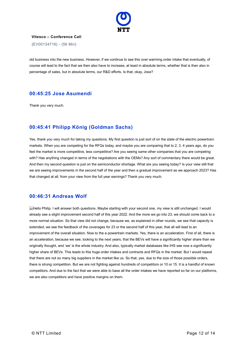

{EV00134716} - {56 Min}

old business into the new business. However, if we continue to see this over warming order intake that eventually, of course will lead to the fact that we then also have to increase, at least in absolute terms, whether that is then also in percentage of sales, but in absolute terms, our R&D efforts. Is that, okay, Jose?

#### **00:45:25 Jose Asumendi**

Thank you very much.

# **00:45:41 Philipp König (Goldman Sachs)**

Yes, thank you very much for taking my questions. My first question is just sort of on the state of the electric powertrain markets. When you are competing for the RFQs today, and maybe you are comparing that to 2, 3, 4 years ago, do you feel the market is more competitive, less competitive? Are you seeing same other companies that you are competing with? Has anything changed in terms of the negotiations with the OEMs? Any sort of commentary there would be great. And then my second question is just on the semiconductor shortage. What are you seeing today? Is your view still that we are seeing improvements in the second half of the year and then a gradual improvement as we approach 2023? Has that changed at all, from your view from the full year earnings? Thank you very much.

#### **00:46:31 Andreas Wolf**

Hello Philip. I will answer both questions. Maybe starting with your second one, my view is still unchanged. I would already see a slight improvement second half of this year 2022. And the more we go into 23, we should come back to a more normal situation. So that view did not change, because we, as explained in other rounds, we see that capacity is extended, we see the feedback of the coverages for 23 or the second half of this year, that all will lead to an improvement of the overall situation. Now to the e-powertrain markets. Yes, there is an acceleration. First of all, there is an acceleration, because we see, looking to the next years, that the BEVs will have a significantly higher share than we originally thought, and 'we' is the whole industry. And also, typically market databases like IHS see now a significantly higher share of BEVs. This leads to this huge order intakes and contracts and RFQs in the market. But I would repeat that there are not so many big suppliers in the market like us. So that, yes, due to the size of those possible orders, there is strong competition. But we are not fighting against hundreds of competitors or 10 or 15. It is a handful of known competitors. And due to the fact that we were able to base all the order intakes we have reported so far on our platforms, we are also competitors and have positive margins on them.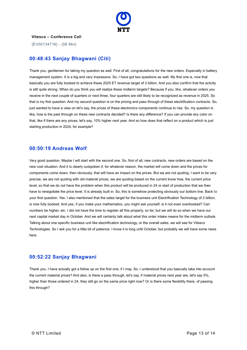

{EV00134716} - {56 Min}

## **00:48:43 Sanjay Bhagwani (Citi)**

Thank you, gentlemen for taking my question as well. First of all, congratulations for the new orders. Especially in battery management system. It is a big and very impressive. So, I have got two questions as well. My first one is, now that basically you are fully booked to achieve these 2025 ET revenue target of 2 billion. And you also confirm that the activity is still quite strong. When do you think you will realize these midterm targets? Because if you, like, whatever orders you receive in the next couple of quarters or next three, four quarters are still likely to be recognized as revenue in 2025. So that is my first question. And my second question is on the pricing and pass through of these electrification contracts. So, just wanted to have a view on let's say, the prices of these electronics components continue to rise. So, my question is like, how is the past through on these new contracts decided? Is there any difference? If you can provide any color on that, like if there are any prices, let's say, 10% higher next year. And so how does that reflect on a product which is just starting production in 2024, for example?

#### **00:50:19 Andreas Wolf**

Very good question. Maybe I will start with the second one. So, first of all, new contracts, new orders are based on the new cost situation. And it is clearly outspoken if, for whatever reason, the market will come down and the prices for components come down, then obviously, that will have an impact on the prices. But we are not quoting, I want to be very precise, we are not quoting with old material prices, we are quoting based on the current know how, the current price level, so that we do not have the problem when this product will be produced in 24 or start of production that we then have to renegotiate the price level. It is already built in. So, this is somehow protecting obviously our bottom line. Back to your first question. Yes. I also mentioned that the sales target for the business unit Electrification Technology of 2 billion, is now fully booked. And yes, if you make your mathematics, you might ask yourself, is it not even overbooked? Can numbers be higher, etc. I did not have the time to register all this properly, so far, but we will do so when we have our next capital market day in October. And we will certainly talk about what this order intake means for the midterm outlook. Talking about one specific business unit like electrification technology, or the overall sales, we will see for Vitesco Technologies. So I ask you for a little bit of patience. I know it is long until October, but probably we will have some news here.

#### **00:52:22 Sanjay Bhagwani**

Thank you. I have actually got a follow up on the first one, if I may. So, I understood that you basically take into account the current material prices? And also, is there a pass through, let's say, if material prices next year are, let's say 5%, higher than those ordered in 24, they still go on the same price right now? Or is there some flexibility there, of passing this through?